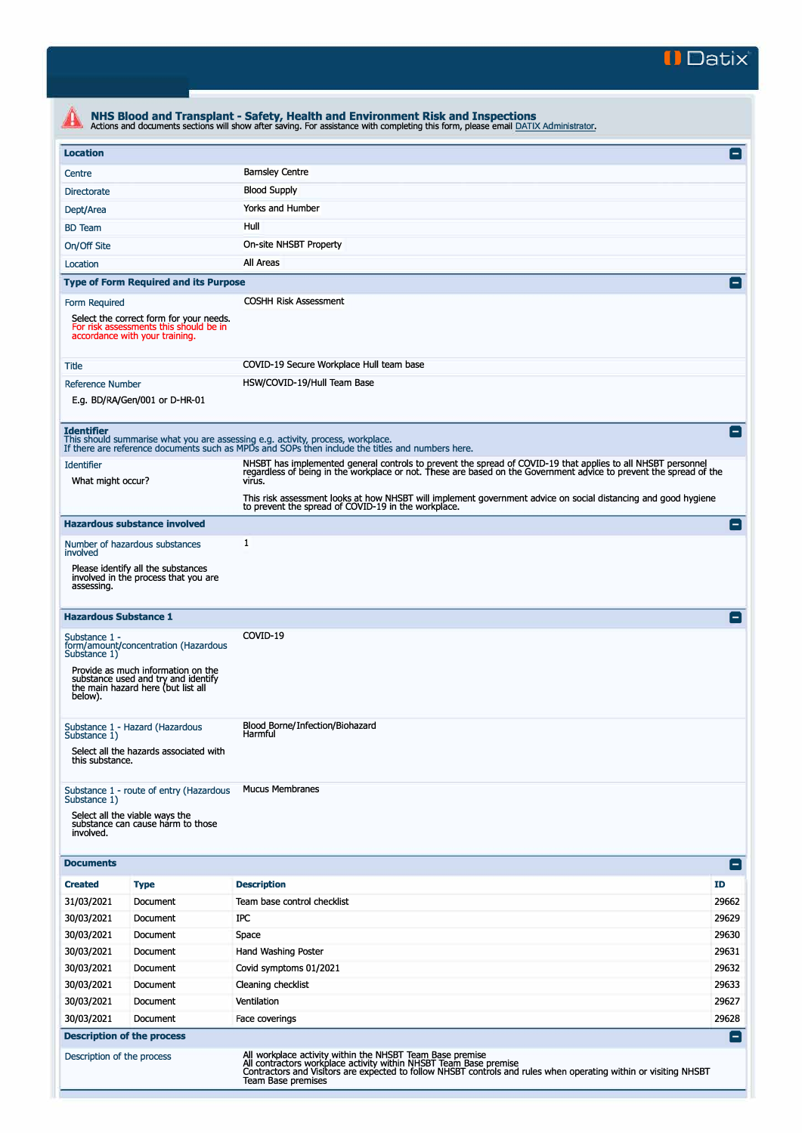

| <b>Location</b>                                                                                                                                                      |                                                                                                                 |                                                                                                                                                                                                                                              | E               |  |  |
|----------------------------------------------------------------------------------------------------------------------------------------------------------------------|-----------------------------------------------------------------------------------------------------------------|----------------------------------------------------------------------------------------------------------------------------------------------------------------------------------------------------------------------------------------------|-----------------|--|--|
| Centre                                                                                                                                                               |                                                                                                                 | <b>Barnsley Centre</b>                                                                                                                                                                                                                       |                 |  |  |
| <b>Blood Supply</b>                                                                                                                                                  |                                                                                                                 |                                                                                                                                                                                                                                              |                 |  |  |
| Directorate<br>Yorks and Humber                                                                                                                                      |                                                                                                                 |                                                                                                                                                                                                                                              |                 |  |  |
| Dept/Area                                                                                                                                                            |                                                                                                                 |                                                                                                                                                                                                                                              |                 |  |  |
| Hull<br><b>BD</b> Team                                                                                                                                               |                                                                                                                 |                                                                                                                                                                                                                                              |                 |  |  |
| On-site NHSBT Property<br>On/Off Site                                                                                                                                |                                                                                                                 |                                                                                                                                                                                                                                              |                 |  |  |
| Location                                                                                                                                                             |                                                                                                                 | All Areas                                                                                                                                                                                                                                    |                 |  |  |
|                                                                                                                                                                      | <b>Type of Form Required and its Purpose</b>                                                                    |                                                                                                                                                                                                                                              | E               |  |  |
| <b>COSHH Risk Assessment</b><br>Form Required<br>Select the correct form for your needs.<br>For risk assessments this should be in<br>accordance with your training. |                                                                                                                 |                                                                                                                                                                                                                                              |                 |  |  |
| Title                                                                                                                                                                |                                                                                                                 | COVID-19 Secure Workplace Hull team base                                                                                                                                                                                                     |                 |  |  |
| <b>Reference Number</b>                                                                                                                                              | E.g. BD/RA/Gen/001 or D-HR-01                                                                                   | HSW/COVID-19/Hull Team Base                                                                                                                                                                                                                  |                 |  |  |
| <b>Identifier</b>                                                                                                                                                    |                                                                                                                 | This should summarise what you are assessing e.g. activity, process, workplace.<br>If there are reference documents such as MPDs and SOPs then include the titles and numbers here.                                                          | $=$             |  |  |
| <b>Identifier</b><br>What might occur?                                                                                                                               |                                                                                                                 | NHSBT has implemented general controls to prevent the spread of COVID-19 that applies to all NHSBT personnel<br>regardless of being in the workplace or not. These are based on the Government advice to prevent the spread of the<br>virus. |                 |  |  |
|                                                                                                                                                                      |                                                                                                                 | This risk assessment looks at how NHSBT will implement government advice on social distancing and good hygiene<br>to prevent the spread of COVID-19 in the workplace.                                                                        |                 |  |  |
|                                                                                                                                                                      | <b>Hazardous substance involved</b>                                                                             |                                                                                                                                                                                                                                              | $\blacksquare$  |  |  |
| involved                                                                                                                                                             | Number of hazardous substances                                                                                  | 1                                                                                                                                                                                                                                            |                 |  |  |
| assessing.                                                                                                                                                           | Please identify all the substances<br>involved in the process that you are                                      |                                                                                                                                                                                                                                              |                 |  |  |
| <b>Hazardous Substance 1</b>                                                                                                                                         |                                                                                                                 |                                                                                                                                                                                                                                              | $\blacksquare$  |  |  |
| Substance 1 -<br>Substance 1)                                                                                                                                        | form/amount/concentration (Hazardous                                                                            | COVID-19                                                                                                                                                                                                                                     |                 |  |  |
| below).                                                                                                                                                              | Provide as much information on the<br>substance used and try and identify<br>the main hazard here (but list all |                                                                                                                                                                                                                                              |                 |  |  |
| Substance 1)                                                                                                                                                         | Substance 1 - Hazard (Hazardous<br>Select all the hazards associated with                                       | Blood Borne/Infection/Biohazard<br>Harmful                                                                                                                                                                                                   |                 |  |  |
| this substance.                                                                                                                                                      |                                                                                                                 |                                                                                                                                                                                                                                              |                 |  |  |
| Substance 1)<br>involved.                                                                                                                                            | Substance 1 - route of entry (Hazardous<br>Select all the viable ways the<br>substance can cause harm to those  | <b>Mucus Membranes</b>                                                                                                                                                                                                                       |                 |  |  |
| <b>Documents</b>                                                                                                                                                     |                                                                                                                 |                                                                                                                                                                                                                                              | $\vert - \vert$ |  |  |
| <b>Created</b>                                                                                                                                                       | <b>Type</b>                                                                                                     | <b>Description</b>                                                                                                                                                                                                                           | ID              |  |  |
| 31/03/2021                                                                                                                                                           | Document                                                                                                        | Team base control checklist                                                                                                                                                                                                                  | 29662           |  |  |
| 30/03/2021                                                                                                                                                           | Document                                                                                                        | IPC                                                                                                                                                                                                                                          | 29629           |  |  |
| 30/03/2021                                                                                                                                                           | Document                                                                                                        | Space                                                                                                                                                                                                                                        | 29630           |  |  |
| 30/03/2021                                                                                                                                                           | Document                                                                                                        | Hand Washing Poster                                                                                                                                                                                                                          | 29631           |  |  |
| 30/03/2021                                                                                                                                                           | Document                                                                                                        | Covid symptoms 01/2021                                                                                                                                                                                                                       | 29632           |  |  |
| 30/03/2021                                                                                                                                                           | Document                                                                                                        | Cleaning checklist                                                                                                                                                                                                                           | 29633           |  |  |
| 30/03/2021                                                                                                                                                           | Document                                                                                                        | Ventilation                                                                                                                                                                                                                                  | 29627           |  |  |
| 30/03/2021                                                                                                                                                           | Document                                                                                                        | Face coverings                                                                                                                                                                                                                               | 29628           |  |  |
|                                                                                                                                                                      | <b>Description of the process</b>                                                                               |                                                                                                                                                                                                                                              | $=$             |  |  |
|                                                                                                                                                                      | Description of the process                                                                                      | All workplace activity within the NHSBT Team Base premise<br>All contractors workplace activity within NHSBT Team Base premise                                                                                                               |                 |  |  |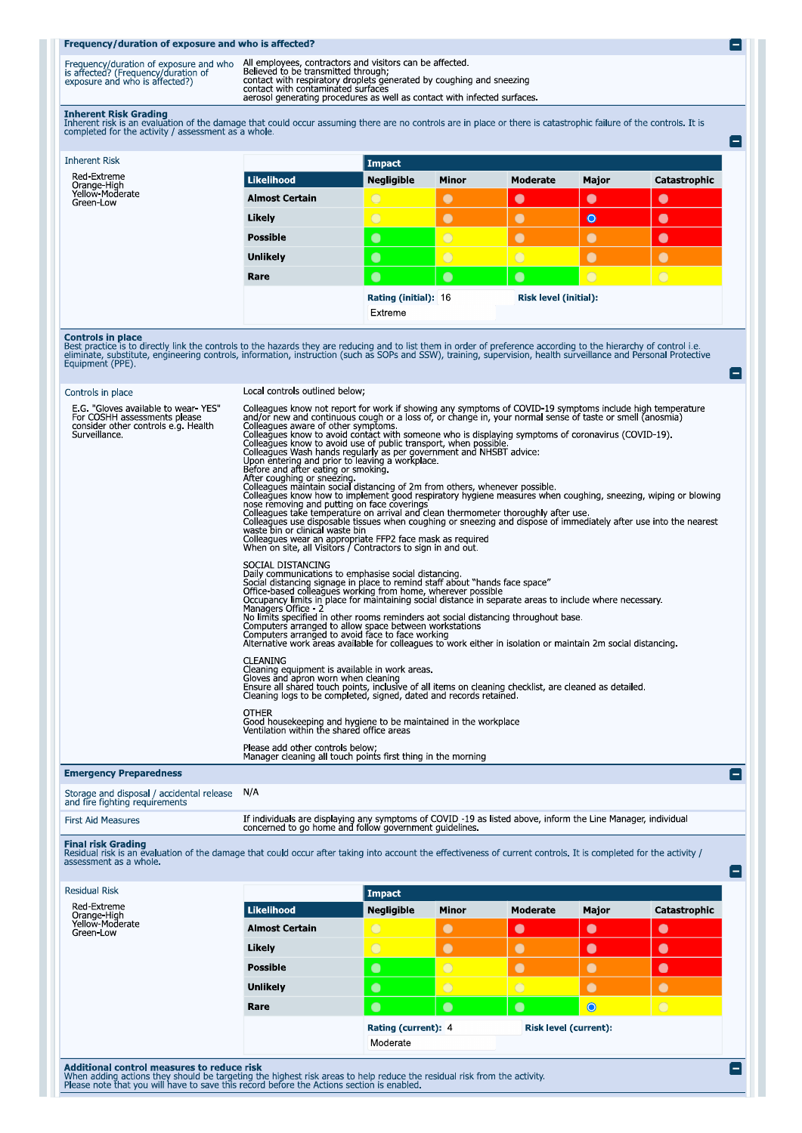## Frequency/duration of exposure and who is affected?

| Frequency/duration of exposure and who | All employees, contractors and visitors can be affected                                                        |
|----------------------------------------|----------------------------------------------------------------------------------------------------------------|
| is affected? (Frequency/duration of    | Believed to be transmitted through:                                                                            |
| exposure and who is affected?)         | contact with respiratory droplets generated by coughing and sneezing                                           |
|                                        | contact with contaminated surfaces<br>aerosol generating procedures as well as contact with infected surfaces. |

О

۸

Inherent Risk Grading<br>Inherent risk is an evaluation of the damage that could occur assuming there are no controls are in place or there is catastrophic failure of the controls. It is<br>completed for the activity / assessmen

| <b>Inherent Risk</b>                        |                       | Impact                                        |              |            |           |              |
|---------------------------------------------|-----------------------|-----------------------------------------------|--------------|------------|-----------|--------------|
| Red-Extreme                                 | Likelihood            | <b>Negligible</b>                             | <b>Minor</b> | Moderate   | Major     | Catastrophic |
| Orange-High<br>Yellow-Moderate<br>Green-Low | <b>Almost Certain</b> | $\circ$                                       | $\bullet$    | $\bullet$  | $\bullet$ | $\bullet$    |
|                                             | Likely                | $\bigcirc$                                    | $\bullet$    | $\bullet$  | $\bullet$ | $\bullet$    |
|                                             | <b>Possible</b>       | $\bullet$                                     | $\circ$      | $\bullet$  | $\bullet$ | $\bullet$    |
|                                             | <b>Unlikely</b>       | $\bullet$                                     | $\circ$      | $\bigcirc$ | $\bullet$ | $\bullet$    |
|                                             | Rare                  | $\bullet$                                     | $\bullet$    | $\bullet$  | $\circ$   | $\bigcirc$   |
|                                             |                       | Rating (initial): 16<br>Risk level (initial): |              |            |           |              |
|                                             |                       | Extreme                                       |              |            |           |              |

**Controls in place**<br>Best practice is to directly link the controls to the hazards they are reducing and to list them in order of preference according to the hierarchy of control i.e.<br>eliminate, substitute, engineering cont

# Controls in place

Local controls outlined below:

| E.G. "Gloves available to wear YES"<br>For COSHH assessments please<br>consider other controls e.g. Health<br>Surveillance. | Colleagues know not report for work if showing any symptoms of COVID-19 symptoms include high temperature<br>and/or new and continuous cough or a loss of, or change in, your normal sense of taste or smell (anosmia)<br>Colleagues aware of other symptoms.<br>Colleagues know to avoid contact with someone who is displaying symptoms of coronavirus (COVID-19).<br>Colleagues know to avoid use of public transport, when possible.<br>Colleagues Wash hands regularly as per government and NHSBT advice:<br>Upon entering and prior to leaving a workplace.<br>Before and after eating or smoking.<br>After coughing or sneezing and a state of 2m from others, whenever possible.<br>Colleagues know how to implement good respiratory hygiene measures when coughing, sneezing, wiping or blowing<br>nose removing and putting on face coverings<br>Colleagues take temperature on arrival and clean thermometer thoroughly after use.<br>Colleagues use disposable tissues when coughing or sneezing and dispose of immediately after use into the nearest<br>waste bin or clinical waste bin<br>Colleagues wear an appropriate FFP2 face mask as required<br>When on site, all Visitors / Contractors to sign in and out. |
|-----------------------------------------------------------------------------------------------------------------------------|--------------------------------------------------------------------------------------------------------------------------------------------------------------------------------------------------------------------------------------------------------------------------------------------------------------------------------------------------------------------------------------------------------------------------------------------------------------------------------------------------------------------------------------------------------------------------------------------------------------------------------------------------------------------------------------------------------------------------------------------------------------------------------------------------------------------------------------------------------------------------------------------------------------------------------------------------------------------------------------------------------------------------------------------------------------------------------------------------------------------------------------------------------------------------------------------------------------------------------------|
|                                                                                                                             | SOCIAL DISTANCING<br>Daily communications to emphasise social distancing.<br>Social distancing signage in place to remind staff about "hands face space"<br>Office-based colleagues working from home, wherever possible<br>Occupancy limits in place for maintaining social distance in separate areas to include where necessary.<br>Managers Office 2<br>No limits specified in other rooms reminders aot social distancing throughout base.<br>Computers arranged to allow space between workstations<br>Computers arranged to avoid face to face working<br>Alternative work areas available for colleagues to work either in isolation or maintain 2m social distancing.                                                                                                                                                                                                                                                                                                                                                                                                                                                                                                                                                       |
|                                                                                                                             | <b>CLEANING</b><br>Cleaning equipment is available in work areas.<br>Gloves and apron worn when cleaning<br>Ensure all shared touch points, inclusive of all items on cleaning checklist, are cleaned as detailed.<br>Cleaning logs to be completed, signed, dated and records retained.                                                                                                                                                                                                                                                                                                                                                                                                                                                                                                                                                                                                                                                                                                                                                                                                                                                                                                                                             |
|                                                                                                                             | <b>OTHER</b><br>Good housekeeping and hygiene to be maintained in the workplace<br>Ventilation within the shared office areas                                                                                                                                                                                                                                                                                                                                                                                                                                                                                                                                                                                                                                                                                                                                                                                                                                                                                                                                                                                                                                                                                                        |
|                                                                                                                             | Please add other controls below;<br>Manager cleaning all touch points first thing in the morning                                                                                                                                                                                                                                                                                                                                                                                                                                                                                                                                                                                                                                                                                                                                                                                                                                                                                                                                                                                                                                                                                                                                     |
| <b>Emergency Preparedness</b>                                                                                               |                                                                                                                                                                                                                                                                                                                                                                                                                                                                                                                                                                                                                                                                                                                                                                                                                                                                                                                                                                                                                                                                                                                                                                                                                                      |
| Storage and disposal / accidental release N/A<br>and fire fighting requirements                                             |                                                                                                                                                                                                                                                                                                                                                                                                                                                                                                                                                                                                                                                                                                                                                                                                                                                                                                                                                                                                                                                                                                                                                                                                                                      |

## **First Aid Measures**

If individuals are displaying any symptoms of COVID -19 as listed above, inform the Line Manager, individual concerned to go home and follow government guidelines. Final risk Grading<br>Residual risk is an evaluation of the damage that could occur after taking into account the effectiveness of current controls. It is completed for the activity /<br>assessment as a whole.

| Red-Extreme<br>Orange-High<br>Yellow-Moderate<br>Green-Low | <b>Likelihood</b>     | Impact<br><b>Negligible</b> | <b>Minor</b>   | <b>Moderate</b>              | Major     | Catastrophic |
|------------------------------------------------------------|-----------------------|-----------------------------|----------------|------------------------------|-----------|--------------|
|                                                            | <b>Almost Certain</b> | $\bigcirc$                  | $\bullet$      | $\bullet$                    | $\bullet$ | $\bullet$    |
|                                                            | Likely                | $\bigcirc$                  | $\bullet$      | $\bullet$                    | $\bullet$ | $\bullet$    |
|                                                            | <b>Possible</b>       | $\bullet$                   | $\bigcirc$     | $\bullet$                    | $\bullet$ | $\bullet$    |
|                                                            | <b>Unlikely</b>       | $\bullet$                   | $\overline{O}$ | $\overline{O}$               | $\bullet$ | $\bullet$    |
|                                                            | Rare                  | $\bullet$                   | $\bullet$      | $\bullet$                    | $\bullet$ | $\bigcirc$   |
|                                                            |                       | Rating (current): 4         |                | <b>Risk level (current):</b> |           |              |
|                                                            |                       | Moderate                    |                |                              |           |              |